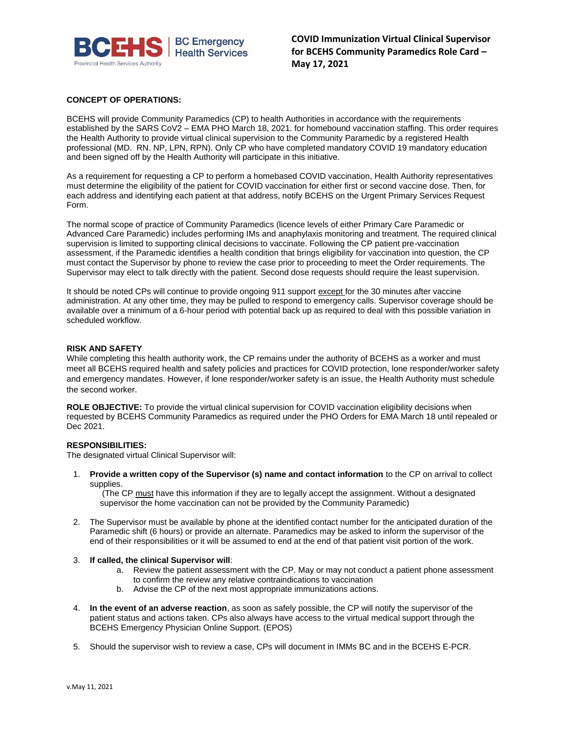

**COVID Immunization Virtual Clinical Supervisor for BCEHS Community Paramedics Role Card – May 17, 2021**

# **CONCEPT OF OPERATIONS:**

BCEHS will provide Community Paramedics (CP) to health Authorities in accordance with the requirements established by the SARS CoV2 – EMA PHO March 18, 2021. for homebound vaccination staffing. This order requires the Health Authority to provide virtual clinical supervision to the Community Paramedic by a registered Health professional (MD. RN. NP, LPN, RPN). Only CP who have completed mandatory COVID 19 mandatory education and been signed off by the Health Authority will participate in this initiative.

As a requirement for requesting a CP to perform a homebased COVID vaccination, Health Authority representatives must determine the eligibility of the patient for COVID vaccination for either first or second vaccine dose. Then, for each address and identifying each patient at that address, notify BCEHS on the Urgent Primary Services Request Form.

The normal scope of practice of Community Paramedics (licence levels of either Primary Care Paramedic or Advanced Care Paramedic) includes performing IMs and anaphylaxis monitoring and treatment. The required clinical supervision is limited to supporting clinical decisions to vaccinate. Following the CP patient pre-vaccination assessment, if the Paramedic identifies a health condition that brings eligibility for vaccination into question, the CP must contact the Supervisor by phone to review the case prior to proceeding to meet the Order requirements. The Supervisor may elect to talk directly with the patient. Second dose requests should require the least supervision.

It should be noted CPs will continue to provide ongoing 911 support except for the 30 minutes after vaccine administration. At any other time, they may be pulled to respond to emergency calls. Supervisor coverage should be available over a minimum of a 6-hour period with potential back up as required to deal with this possible variation in scheduled workflow.

## **RISK AND SAFETY**

While completing this health authority work, the CP remains under the authority of BCEHS as a worker and must meet all BCEHS required health and safety policies and practices for COVID protection, lone responder/worker safety and emergency mandates. However, if lone responder/worker safety is an issue, the Health Authority must schedule the second worker.

**ROLE OBJECTIVE:** To provide the virtual clinical supervision for COVID vaccination eligibility decisions when requested by BCEHS Community Paramedics as required under the PHO Orders for EMA March 18 until repealed or Dec 2021.

#### **RESPONSIBILITIES:**

The designated virtual Clinical Supervisor will:

1. **Provide a written copy of the Supervisor (s) name and contact information** to the CP on arrival to collect supplies.

(The CP must have this information if they are to legally accept the assignment. Without a designated supervisor the home vaccination can not be provided by the Community Paramedic)

2. The Supervisor must be available by phone at the identified contact number for the anticipated duration of the Paramedic shift (6 hours) or provide an alternate. Paramedics may be asked to inform the supervisor of the end of their responsibilities or it will be assumed to end at the end of that patient visit portion of the work.

### 3. **If called, the clinical Supervisor will**:

- a. Review the patient assessment with the CP. May or may not conduct a patient phone assessment to confirm the review any relative contraindications to vaccination
- b. Advise the CP of the next most appropriate immunizations actions.
- 4. **In the event of an adverse reaction**, as soon as safely possible, the CP will notify the supervisor of the patient status and actions taken. CPs also always have access to the virtual medical support through the BCEHS Emergency Physician Online Support. (EPOS)
- 5. Should the supervisor wish to review a case, CPs will document in IMMs BC and in the BCEHS E-PCR.